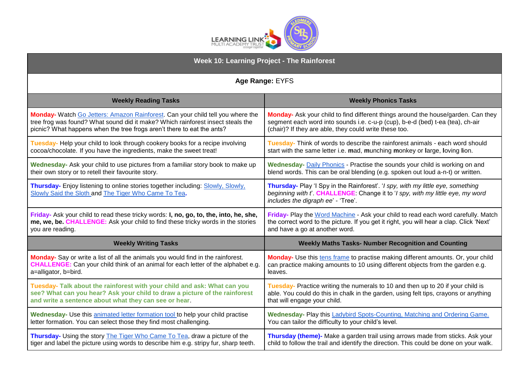

| <b>Week 10: Learning Project - The Rainforest</b>                                                                                       |                                                                                                                                                                                                        |
|-----------------------------------------------------------------------------------------------------------------------------------------|--------------------------------------------------------------------------------------------------------------------------------------------------------------------------------------------------------|
| Age Range: EYFS                                                                                                                         |                                                                                                                                                                                                        |
| <b>Weekly Reading Tasks</b>                                                                                                             | <b>Weekly Phonics Tasks</b>                                                                                                                                                                            |
| Monday- Watch Go Jetters: Amazon Rainforest. Can your child tell you where the                                                          | Monday- Ask your child to find different things around the house/garden. Can they                                                                                                                      |
| tree frog was found? What sound did it make? Which rainforest insect steals the                                                         | segment each word into sounds i.e. c-u-p (cup), b-e-d (bed) t-ea (tea), ch-air                                                                                                                         |
| picnic? What happens when the tree frogs aren't there to eat the ants?                                                                  | (chair)? If they are able, they could write these too.                                                                                                                                                 |
| Tuesday- Help your child to look through cookery books for a recipe involving                                                           | Tuesday- Think of words to describe the rainforest animals - each word should                                                                                                                          |
| cocoa/chocolate. If you have the ingredients, make the sweet treat!                                                                     | start with the same letter i.e. mad, munching monkey or large, loving lion.                                                                                                                            |
| Wednesday- Ask your child to use pictures from a familiar story book to make up                                                         | Wednesday- Daily Phonics - Practise the sounds your child is working on and                                                                                                                            |
| their own story or to retell their favourite story.                                                                                     | blend words. This can be oral blending (e.g. spoken out loud a-n-t) or written.                                                                                                                        |
| Thursday- Enjoy listening to online stories together including: Slowly, Slowly,<br>Slowly Said the Sloth and The Tiger Who Came To Tea. | Thursday- Play 'I Spy in the Rainforest'. 'I spy, with my little eye, something<br>beginning with t. CHALLENGE: Change it to 'I spy, with my little eye, my word<br>includes the digraph ee' - 'Tree'. |
| Friday- Ask your child to read these tricky words: I, no, go, to, the, into, he, she,                                                   | Friday- Play the Word Machine - Ask your child to read each word carefully. Match                                                                                                                      |
| me, we, be. CHALLENGE: Ask your child to find these tricky words in the stories                                                         | the correct word to the picture. If you get it right, you will hear a clap. Click 'Next'                                                                                                               |
| you are reading.                                                                                                                        | and have a go at another word.                                                                                                                                                                         |
| <b>Weekly Writing Tasks</b>                                                                                                             | <b>Weekly Maths Tasks- Number Recognition and Counting</b>                                                                                                                                             |
| Monday- Say or write a list of all the animals you would find in the rainforest.                                                        | Monday- Use this tens frame to practise making different amounts. Or, your child                                                                                                                       |
| <b>CHALLENGE:</b> Can your child think of an animal for each letter of the alphabet e.g.                                                | can practice making amounts to 10 using different objects from the garden e.g.                                                                                                                         |
| a=alligator, b=bird.                                                                                                                    | leaves.                                                                                                                                                                                                |
| Tuesday- Talk about the rainforest with your child and ask: What can you                                                                | Tuesday- Practice writing the numerals to 10 and then up to 20 if your child is                                                                                                                        |
| see? What can you hear? Ask your child to draw a picture of the rainforest                                                              | able. You could do this in chalk in the garden, using felt tips, crayons or anything                                                                                                                   |
| and write a sentence about what they can see or hear.                                                                                   | that will engage your child.                                                                                                                                                                           |
| Wednesday- Use this animated letter formation tool to help your child practise                                                          | Wednesday- Play this Ladybird Spots-Counting, Matching and Ordering Game.                                                                                                                              |
| letter formation. You can select those they find most challenging.                                                                      | You can tailor the difficulty to your child's level.                                                                                                                                                   |
| Thursday- Using the story The Tiger Who Came To Tea, draw a picture of the                                                              | Thursday (theme)- Make a garden trail using arrows made from sticks. Ask your                                                                                                                          |
| tiger and label the picture using words to describe him e.g. stripy fur, sharp teeth.                                                   | child to follow the trail and identify the direction. This could be done on your walk.                                                                                                                 |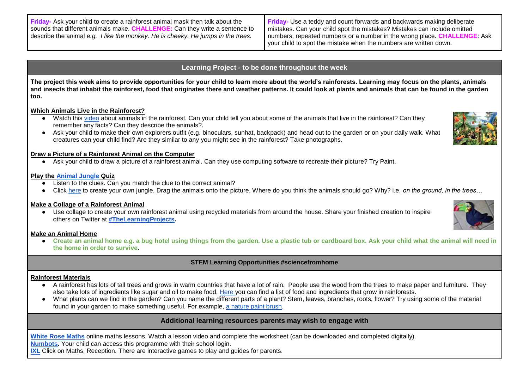**Friday-** Ask your child to create a rainforest animal mask then talk about the sounds that different animals make. **CHALLENGE:** Can they write a sentence to describe the animal *e.g. I like the monkey. He is cheeky. He jumps in the trees.*

**Friday-** Use a teddy and count forwards and backwards making deliberate mistakes. Can your child spot the mistakes? Mistakes can include omitted numbers, repeated numbers or a number in the wrong place. **CHALLENGE**: Ask your child to spot the mistake when the numbers are written down.

# **Learning Project - to be done throughout the week**

**The project this week aims to provide opportunities for your child to learn more about the world's rainforests. Learning may focus on the plants, animals and insects that inhabit the rainforest, food that originates there and weather patterns. It could look at plants and animals that can be found in the garden too.**

# **Which Animals Live in the Rainforest?**

- Watch this [video](https://www.bbc.co.uk/programmes/p011mwwt) about animals in the rainforest. Can your child tell you about some of the animals that live in the rainforest? Can they remember any facts? Can they describe the animals?.
- Ask your child to make their own explorers outfit (e.g. binoculars, sunhat, backpack) and head out to the garden or on your daily walk. What creatures can your child find? Are they similar to any you might see in the rainforest? Take photographs.

## **Draw a Picture of a Rainforest Animal on the Computer**

● Ask your child to draw a picture of a rainforest animal. Can they use computing software to recreate their picture? Try Paint.

## **Play the [Animal Jungle](https://www.sheppardsoftware.com/preschool/animals/jungle/animaljunglegame.htm) Quiz**

- Listen to the clues. Can you match the clue to the correct animal?
- Click [here](http://www.sheppardsoftware.com/preschool/animals/jungle/animaljunglecreate.htm) to create your own jungle. Drag the animals onto the picture. Where do you think the animals should go? Why? i.e. *on the ground, in the trees…*

## **Make a Collage of a Rainforest Animal**

• Use collage to create your own rainforest animal using recycled materials from around the house. Share your finished creation to inspire others on Twitter at **[#TheLearningProjects.](https://twitter.com/hashtag/thelearningproject)** 

#### **Make an Animal Home**

● Create an animal home e.g. a bug hotel using things from the garden. Use a plastic tub or cardboard box. Ask your child what the animal will need in **the home in order to survive**.

# **STEM Learning Opportunities #sciencefromhome**

## **Rainforest Materials**

- A rainforest has lots of tall trees and grows in warm countries that have a lot of rain. People use the wood from the trees to make paper and furniture. They also take lots of ingredients like sugar and oil to make food. [Here y](https://bit.ly/2yY0IJc)ou can find a list of food and ingredients that grow in rainforests.
- What plants can we find in the garden? Can you name the different parts of a plant? Stem, leaves, branches, roots, flower? Try using some of the material found in your garden to make something useful. For example, [a nature paint brush.](https://www.pinterest.co.uk/pin/538109855475903983/)

# **Additional learning resources parents may wish to engage with**

**[White Rose Maths](https://whiterosemaths.com/homelearning/)** online maths lessons. Watch a lesson video and complete the worksheet (can be downloaded and completed digitally).

**[Numbots.](https://numbots.com/)** Your child can access this programme with their school login.

**[IXL](https://uk.ixl.com/math/reception)** Click on Maths, Reception. There are interactive games to play and guides for parents.